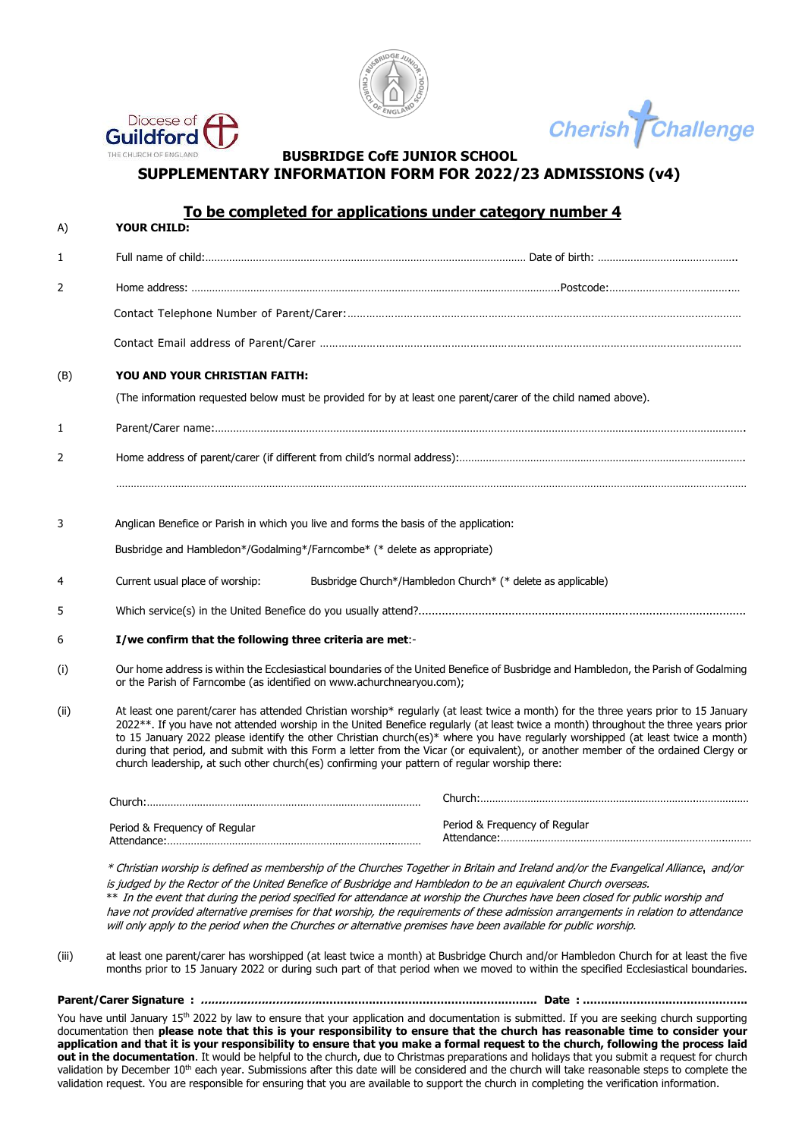



Challenge **Cherish** 

### THE CHURCH OF ENGLAND **BUSBRIDGE CofE JUNIOR SCHOOL SUPPLEMENTARY INFORMATION FORM FOR 2022/23 ADMISSIONS (v4)**

#### **To be completed for applications under category number 4** A) **YOUR CHILD:**

| 1                                                                                                     |                                                                                                                                                                                                              |                                                                                                                                                                                                                                                                                                                                                                                                                                                                                                                                                      |  |
|-------------------------------------------------------------------------------------------------------|--------------------------------------------------------------------------------------------------------------------------------------------------------------------------------------------------------------|------------------------------------------------------------------------------------------------------------------------------------------------------------------------------------------------------------------------------------------------------------------------------------------------------------------------------------------------------------------------------------------------------------------------------------------------------------------------------------------------------------------------------------------------------|--|
| 2                                                                                                     |                                                                                                                                                                                                              |                                                                                                                                                                                                                                                                                                                                                                                                                                                                                                                                                      |  |
|                                                                                                       |                                                                                                                                                                                                              |                                                                                                                                                                                                                                                                                                                                                                                                                                                                                                                                                      |  |
|                                                                                                       |                                                                                                                                                                                                              |                                                                                                                                                                                                                                                                                                                                                                                                                                                                                                                                                      |  |
| (B)                                                                                                   | YOU AND YOUR CHRISTIAN FAITH:                                                                                                                                                                                |                                                                                                                                                                                                                                                                                                                                                                                                                                                                                                                                                      |  |
|                                                                                                       |                                                                                                                                                                                                              | (The information requested below must be provided for by at least one parent/carer of the child named above).                                                                                                                                                                                                                                                                                                                                                                                                                                        |  |
| 1                                                                                                     |                                                                                                                                                                                                              |                                                                                                                                                                                                                                                                                                                                                                                                                                                                                                                                                      |  |
| 2                                                                                                     |                                                                                                                                                                                                              |                                                                                                                                                                                                                                                                                                                                                                                                                                                                                                                                                      |  |
|                                                                                                       |                                                                                                                                                                                                              |                                                                                                                                                                                                                                                                                                                                                                                                                                                                                                                                                      |  |
| 3                                                                                                     | Anglican Benefice or Parish in which you live and forms the basis of the application:                                                                                                                        |                                                                                                                                                                                                                                                                                                                                                                                                                                                                                                                                                      |  |
|                                                                                                       | Busbridge and Hambledon*/Godalming*/Farncombe* (* delete as appropriate)                                                                                                                                     |                                                                                                                                                                                                                                                                                                                                                                                                                                                                                                                                                      |  |
|                                                                                                       |                                                                                                                                                                                                              |                                                                                                                                                                                                                                                                                                                                                                                                                                                                                                                                                      |  |
| 4                                                                                                     | Current usual place of worship:                                                                                                                                                                              | Busbridge Church*/Hambledon Church* (* delete as applicable)                                                                                                                                                                                                                                                                                                                                                                                                                                                                                         |  |
| 5                                                                                                     |                                                                                                                                                                                                              |                                                                                                                                                                                                                                                                                                                                                                                                                                                                                                                                                      |  |
| 6                                                                                                     | I/we confirm that the following three criteria are met:-                                                                                                                                                     |                                                                                                                                                                                                                                                                                                                                                                                                                                                                                                                                                      |  |
| (i)                                                                                                   | Our home address is within the Ecclesiastical boundaries of the United Benefice of Busbridge and Hambledon, the Parish of Godalming<br>or the Parish of Farncombe (as identified on www.achurchnearyou.com); |                                                                                                                                                                                                                                                                                                                                                                                                                                                                                                                                                      |  |
| (ii)<br>church leadership, at such other church(es) confirming your pattern of regular worship there: |                                                                                                                                                                                                              | At least one parent/carer has attended Christian worship* regularly (at least twice a month) for the three years prior to 15 January<br>2022**. If you have not attended worship in the United Benefice regularly (at least twice a month) throughout the three years prior<br>to 15 January 2022 please identify the other Christian church(es)* where you have regularly worshipped (at least twice a month)<br>during that period, and submit with this Form a letter from the Vicar (or equivalent), or another member of the ordained Clergy or |  |
|                                                                                                       |                                                                                                                                                                                                              |                                                                                                                                                                                                                                                                                                                                                                                                                                                                                                                                                      |  |
|                                                                                                       | Period & Frequency of Regular                                                                                                                                                                                | Period & Frequency of Regular                                                                                                                                                                                                                                                                                                                                                                                                                                                                                                                        |  |
|                                                                                                       |                                                                                                                                                                                                              | * Christian worship is defined as membership of the Churches Together in Britain and Ireland and/or the Evangelical Alliance, and/or<br>is judged by the Pester of the United Penefice of Puchridge and Hambledon to be an equivalent Church eversease                                                                                                                                                                                                                                                                                               |  |

is judged by the Rector of the United Benefice of Busbridge and Hambledon to be an equivalent Church overseas. \*\* In the event that during the period specified for attendance at worship the Churches have been closed for public worship and have not provided alternative premises for that worship, the requirements of these admission arrangements in relation to attendance will only apply to the period when the Churches or alternative premises have been available for public worship.

(iii) at least one parent/carer has worshipped (at least twice a month) at Busbridge Church and/or Hambledon Church for at least the five months prior to 15 January 2022 or during such part of that period when we moved to within the specified Ecclesiastical boundaries.

**Parent/Carer Signature : …………………………………………………………………………………. Date : ……………………………………….**

You have until January 15<sup>th</sup> 2022 by law to ensure that your application and documentation is submitted. If you are seeking church supporting documentation then **please note that this is your responsibility to ensure that the church has reasonable time to consider your application and that it is your responsibility to ensure that you make a formal request to the church, following the process laid out in the documentation.** It would be helpful to the church, due to Christmas preparations and holidays that you submit a request for church validation by December 10<sup>th</sup> each year. Submissions after this date will be considered and the church will take reasonable steps to complete the validation request. You are responsible for ensuring that you are available to support the church in completing the verification information.